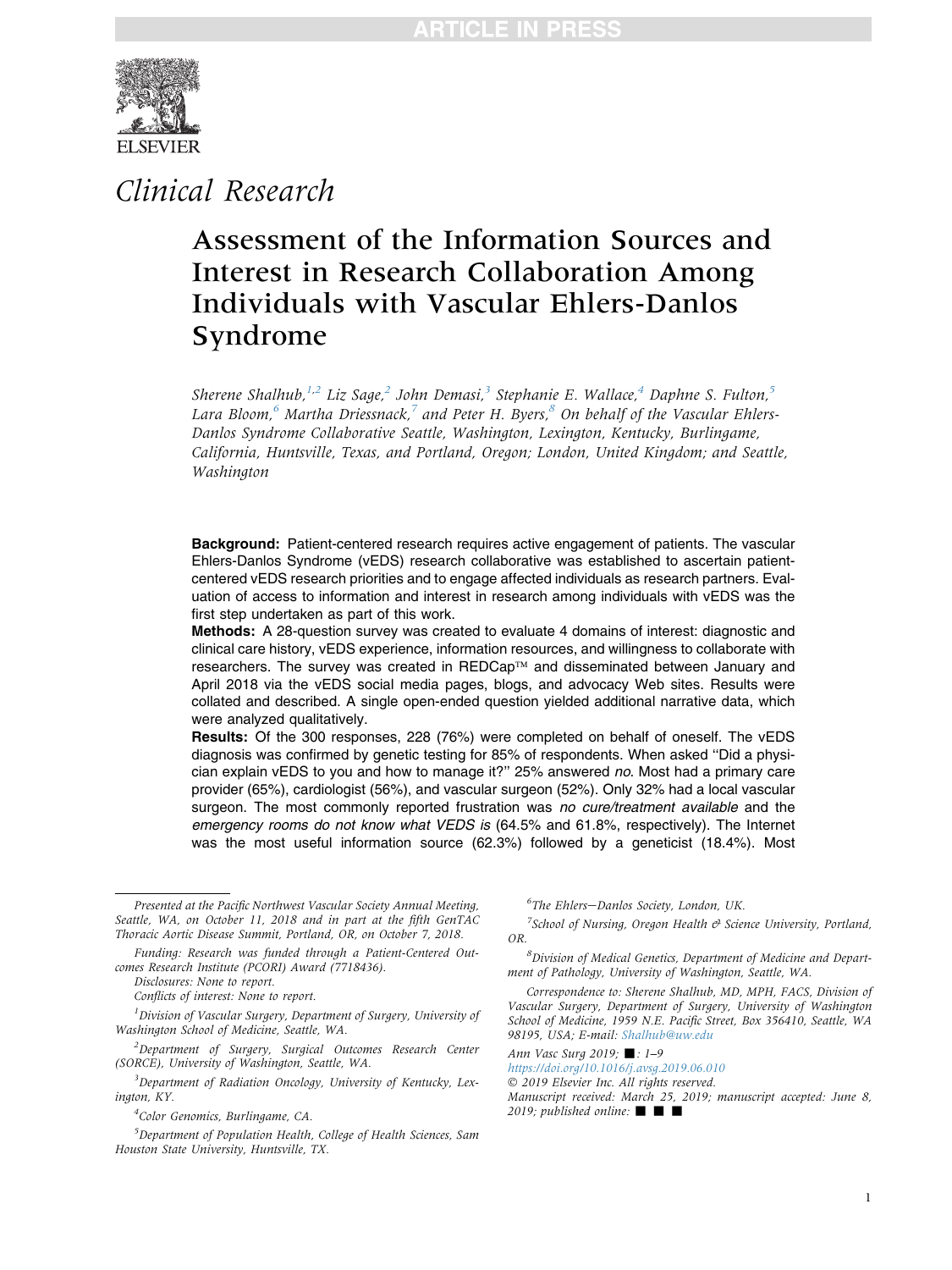

Clinical Research

# Assessment of the Information Sources and Interest in Research Collaboration Among Individuals with Vascular Ehlers-Danlos Syndrome

Sherene Shalhub,  $^{1,2}$  Liz Sage,  $^2$  John Demasi,  $^3$  Stephanie E. Wallace,  $^4$  Daphne S. Fulton,  $^5$ Lara Bloom,<sup>6</sup> Martha Driessnack,<sup>7</sup> and Peter H. Byers,<sup>8</sup> On behalf of the Vascular Ehlers-Danlos Syndrome Collaborative Seattle, Washington, Lexington, Kentucky, Burlingame, California, Huntsville, Texas, and Portland, Oregon; London, United Kingdom; and Seattle, Washington

Background: Patient-centered research requires active engagement of patients. The vascular Ehlers-Danlos Syndrome (vEDS) research collaborative was established to ascertain patientcentered vEDS research priorities and to engage affected individuals as research partners. Evaluation of access to information and interest in research among individuals with vEDS was the first step undertaken as part of this work.

Methods: A 28-question survey was created to evaluate 4 domains of interest: diagnostic and clinical care history, vEDS experience, information resources, and willingness to collaborate with researchers. The survey was created in REDCap™ and disseminated between January and April 2018 via the vEDS social media pages, blogs, and advocacy Web sites. Results were collated and described. A single open-ended question yielded additional narrative data, which were analyzed qualitatively.

Results: Of the 300 responses, 228 (76%) were completed on behalf of oneself. The vEDS diagnosis was confirmed by genetic testing for 85% of respondents. When asked ''Did a physician explain vEDS to you and how to manage it?'' 25% answered no. Most had a primary care provider (65%), cardiologist (56%), and vascular surgeon (52%). Only 32% had a local vascular surgeon. The most commonly reported frustration was no cure/treatment available and the emergency rooms do not know what VEDS is (64.5% and 61.8%, respectively). The Internet was the most useful information source (62.3%) followed by a geneticist (18.4%). Most

 ${}^{6}$ The Ehlers-Danlos Society, London, UK.

 $7$ School of Nursing, Oregon Health  $\Theta$  Science University, Portland, OR.

8 Division of Medical Genetics, Department of Medicine and Department of Pathology, University of Washington, Seattle, WA.

Correspondence to: Sherene Shalhub, MD, MPH, FACS, Division of Vascular Surgery, Department of Surgery, University of Washington School of Medicine, 1959 N.E. Pacific Street, Box 356410, Seattle, WA 98195, USA; E-mail: [Shalhub@uw.edu](mailto:Shalhub@uw.edu)

Ann Vasc Surg 2019;  $\blacksquare$ : 1-9 <https://doi.org/10.1016/j.avsg.2019.06.010>

2019 Elsevier Inc. All rights reserved.

Manuscript received: March 25, 2019; manuscript accepted: June 8,

2019; published online:  $\blacksquare$ 

Presented at the Pacific Northwest Vascular Society Annual Meeting, Seattle, WA, on October 11, 2018 and in part at the fifth GenTAC Thoracic Aortic Disease Summit, Portland, OR, on October 7, 2018.

Funding: Research was funded through a Patient-Centered Outcomes Research Institute (PCORI) Award (7718436).

Disclosures: None to report.

Conflicts of interest: None to report.

 ${}^{1}$ Division of Vascular Surgery, Department of Surgery, University of Washington School of Medicine, Seattle, WA.

<sup>&</sup>lt;sup>2</sup>Department of Surgery, Surgical Outcomes Research Center (SORCE), University of Washington, Seattle, WA.

<sup>&</sup>lt;sup>3</sup>Department of Radiation Oncology, University of Kentucky, Lexington, KY.

<sup>&</sup>lt;sup>4</sup>Color Genomics, Burlingame, CA.

<sup>&</sup>lt;sup>5</sup>Department of Population Health, College of Health Sciences, Sam Houston State University, Huntsville, TX.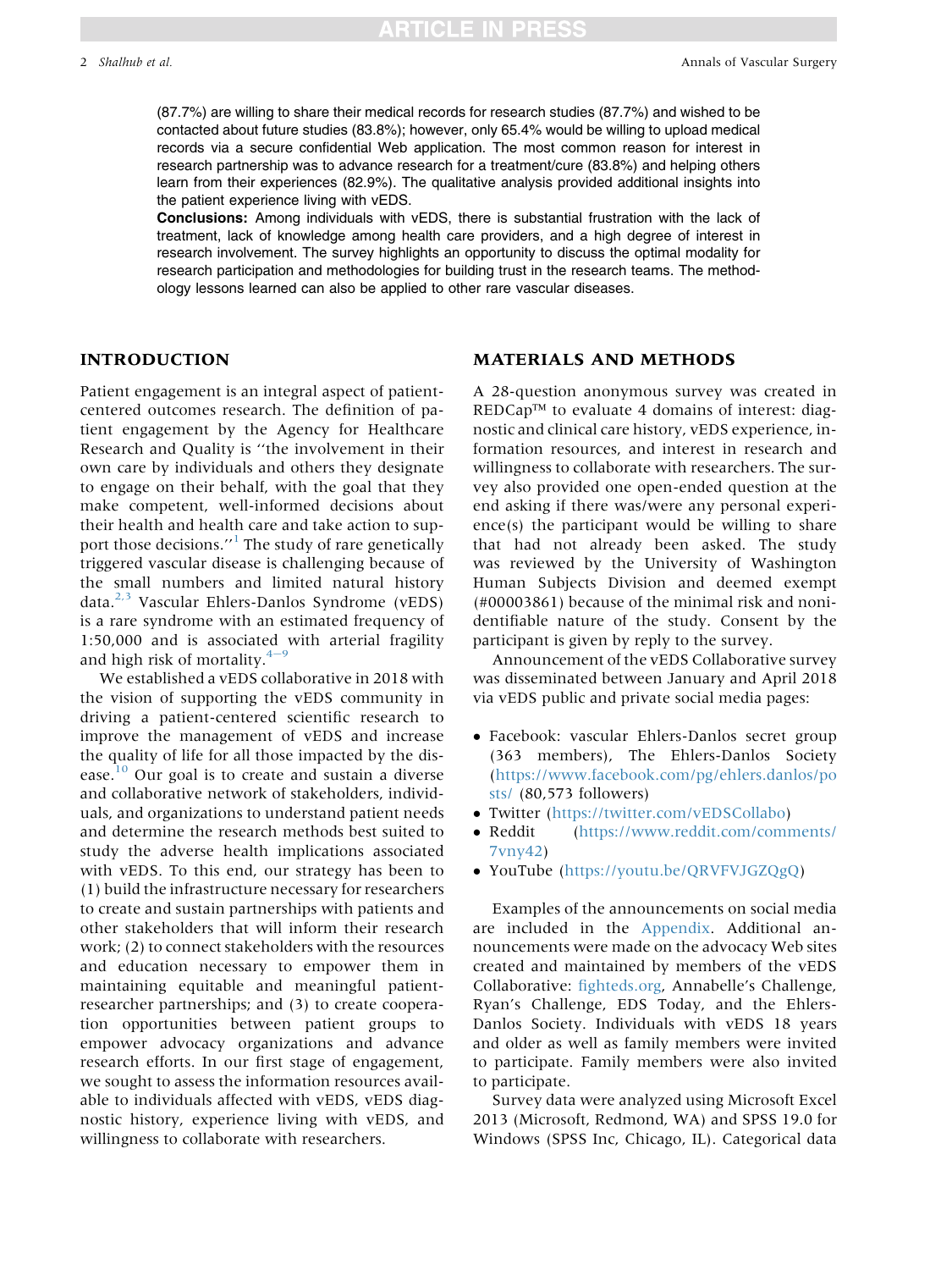# TCLE IN PRES!

(87.7%) are willing to share their medical records for research studies (87.7%) and wished to be contacted about future studies (83.8%); however, only 65.4% would be willing to upload medical records via a secure confidential Web application. The most common reason for interest in research partnership was to advance research for a treatment/cure (83.8%) and helping others learn from their experiences (82.9%). The qualitative analysis provided additional insights into the patient experience living with vEDS.

Conclusions: Among individuals with vEDS, there is substantial frustration with the lack of treatment, lack of knowledge among health care providers, and a high degree of interest in research involvement. The survey highlights an opportunity to discuss the optimal modality for research participation and methodologies for building trust in the research teams. The methodology lessons learned can also be applied to other rare vascular diseases.

### INTRODUCTION

Patient engagement is an integral aspect of patientcentered outcomes research. The definition of patient engagement by the Agency for Healthcare Research and Quality is ''the involvement in their own care by individuals and others they designate to engage on their behalf, with the goal that they make competent, well-informed decisions about their health and health care and take action to sup-port those decisions."<sup>[1](#page-8-0)</sup> The study of rare genetically triggered vascular disease is challenging because of the small numbers and limited natural history data. $2,3$  Vascular Ehlers-Danlos Syndrome (vEDS) is a rare syndrome with an estimated frequency of 1:50,000 and is associated with arterial fragility and high risk of mortality. $4-9$  $4-9$ 

We established a vEDS collaborative in 2018 with the vision of supporting the vEDS community in driving a patient-centered scientific research to improve the management of vEDS and increase the quality of life for all those impacted by the dis-ease.<sup>[10](#page-8-0)</sup> Our goal is to create and sustain a diverse and collaborative network of stakeholders, individuals, and organizations to understand patient needs and determine the research methods best suited to study the adverse health implications associated with vEDS. To this end, our strategy has been to (1) build the infrastructure necessary for researchers to create and sustain partnerships with patients and other stakeholders that will inform their research work; (2) to connect stakeholders with the resources and education necessary to empower them in maintaining equitable and meaningful patientresearcher partnerships; and (3) to create cooperation opportunities between patient groups to empower advocacy organizations and advance research efforts. In our first stage of engagement, we sought to assess the information resources available to individuals affected with vEDS, vEDS diagnostic history, experience living with vEDS, and willingness to collaborate with researchers.

#### MATERIALS AND METHODS

A 28-question anonymous survey was created in  $REDCap^{TM}$  to evaluate 4 domains of interest: diagnostic and clinical care history, vEDS experience, information resources, and interest in research and willingness to collaborate with researchers. The survey also provided one open-ended question at the end asking if there was/were any personal experience(s) the participant would be willing to share that had not already been asked. The study was reviewed by the University of Washington Human Subjects Division and deemed exempt (#00003861) because of the minimal risk and nonidentifiable nature of the study. Consent by the participant is given by reply to the survey.

Announcement of the vEDS Collaborative survey was disseminated between January and April 2018 via vEDS public and private social media pages:

- Facebook: vascular Ehlers-Danlos secret group (363 members), The Ehlers-Danlos Society [\(https://www.facebook.com/pg/ehlers.danlos/po](https://www.facebook.com/pg/ehlers.danlos/posts/) [sts/](https://www.facebook.com/pg/ehlers.danlos/posts/) (80,573 followers)
- Twitter [\(https://twitter.com/vEDSCollabo](https://twitter.com/vEDSCollabo))<br>• Reddit (https://www.reddit.com/comr
- Reddit [\(https://www.reddit.com/comments/](https://www.reddit.com/comments/7vny42) [7vny42\)](https://www.reddit.com/comments/7vny42)
- YouTube [\(https://youtu.be/QRVFVJGZQgQ\)](https://youtu.be/QRVFVJGZQgQ)

Examples of the announcements on social media are included in the Appendix. Additional announcements were made on the advocacy Web sites created and maintained by members of the vEDS Collaborative: [fighteds.org,](http://fighteds.org) Annabelle's Challenge, Ryan's Challenge, EDS Today, and the Ehlers-Danlos Society. Individuals with vEDS 18 years and older as well as family members were invited to participate. Family members were also invited to participate.

Survey data were analyzed using Microsoft Excel 2013 (Microsoft, Redmond, WA) and SPSS 19.0 for Windows (SPSS Inc, Chicago, IL). Categorical data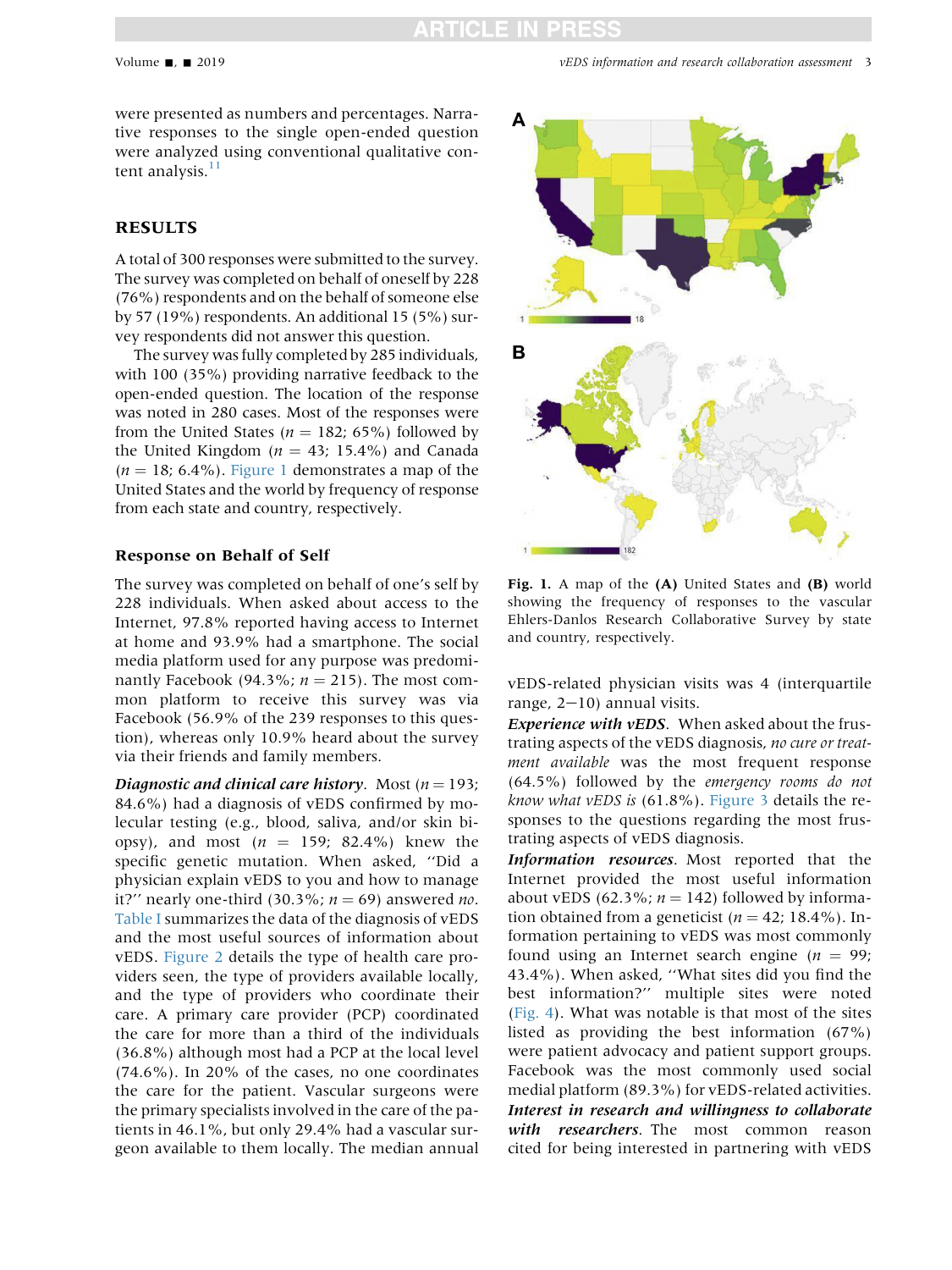were presented as numbers and percentages. Narrative responses to the single open-ended question were analyzed using conventional qualitative content analysis. $11$ 

### RESULTS

A total of 300 responses were submitted to the survey. The survey was completed on behalf of oneself by 228 (76%) respondents and on the behalf of someone else by 57 (19%) respondents. An additional 15 (5%) survey respondents did not answer this question.

The survey was fully completed by 285 individuals, with 100 (35%) providing narrative feedback to the open-ended question. The location of the response was noted in 280 cases. Most of the responses were from the United States ( $n = 182$ ; 65%) followed by the United Kingdom ( $n = 43$ ; 15.4%) and Canada  $(n = 18; 6.4\%)$ . Figure 1 demonstrates a map of the United States and the world by frequency of response from each state and country, respectively.

#### Response on Behalf of Self

The survey was completed on behalf of one's self by 228 individuals. When asked about access to the Internet, 97.8% reported having access to Internet at home and 93.9% had a smartphone. The social media platform used for any purpose was predominantly Facebook (94.3%;  $n = 215$ ). The most common platform to receive this survey was via Facebook (56.9% of the 239 responses to this question), whereas only 10.9% heard about the survey via their friends and family members.

Diagnostic and clinical care history. Most  $(n = 193)$ ; 84.6%) had a diagnosis of vEDS confirmed by molecular testing (e.g., blood, saliva, and/or skin biopsy), and most  $(n = 159; 82.4\%)$  knew the specific genetic mutation. When asked, ''Did a physician explain vEDS to you and how to manage it?" nearly one-third (30.3%;  $n = 69$ ) answered no. [Table I](#page-3-0) summarizes the data of the diagnosis of vEDS and the most useful sources of information about vEDS. [Figure 2](#page-4-0) details the type of health care providers seen, the type of providers available locally, and the type of providers who coordinate their care. A primary care provider (PCP) coordinated the care for more than a third of the individuals (36.8%) although most had a PCP at the local level (74.6%). In 20% of the cases, no one coordinates the care for the patient. Vascular surgeons were the primary specialists involved in the care of the patients in 46.1%, but only 29.4% had a vascular surgeon available to them locally. The median annual



Fig. 1. A map of the (A) United States and (B) world showing the frequency of responses to the vascular Ehlers-Danlos Research Collaborative Survey by state and country, respectively.

vEDS-related physician visits was 4 (interquartile range,  $2-10$ ) annual visits.

Experience with vEDS. When asked about the frustrating aspects of the vEDS diagnosis, no cure or treatment available was the most frequent response (64.5%) followed by the emergency rooms do not know what vEDS is  $(61.8\%)$ . [Figure 3](#page-4-0) details the responses to the questions regarding the most frustrating aspects of vEDS diagnosis.

Information resources. Most reported that the Internet provided the most useful information about vEDS (62.3%;  $n = 142$ ) followed by information obtained from a geneticist ( $n = 42$ ; 18.4%). Information pertaining to vEDS was most commonly found using an Internet search engine ( $n = 99$ ; 43.4%). When asked, ''What sites did you find the best information?'' multiple sites were noted ([Fig. 4\)](#page-5-0). What was notable is that most of the sites listed as providing the best information (67%) were patient advocacy and patient support groups. Facebook was the most commonly used social medial platform (89.3%) for vEDS-related activities. Interest in research and willingness to collaborate with researchers. The most common reason cited for being interested in partnering with vEDS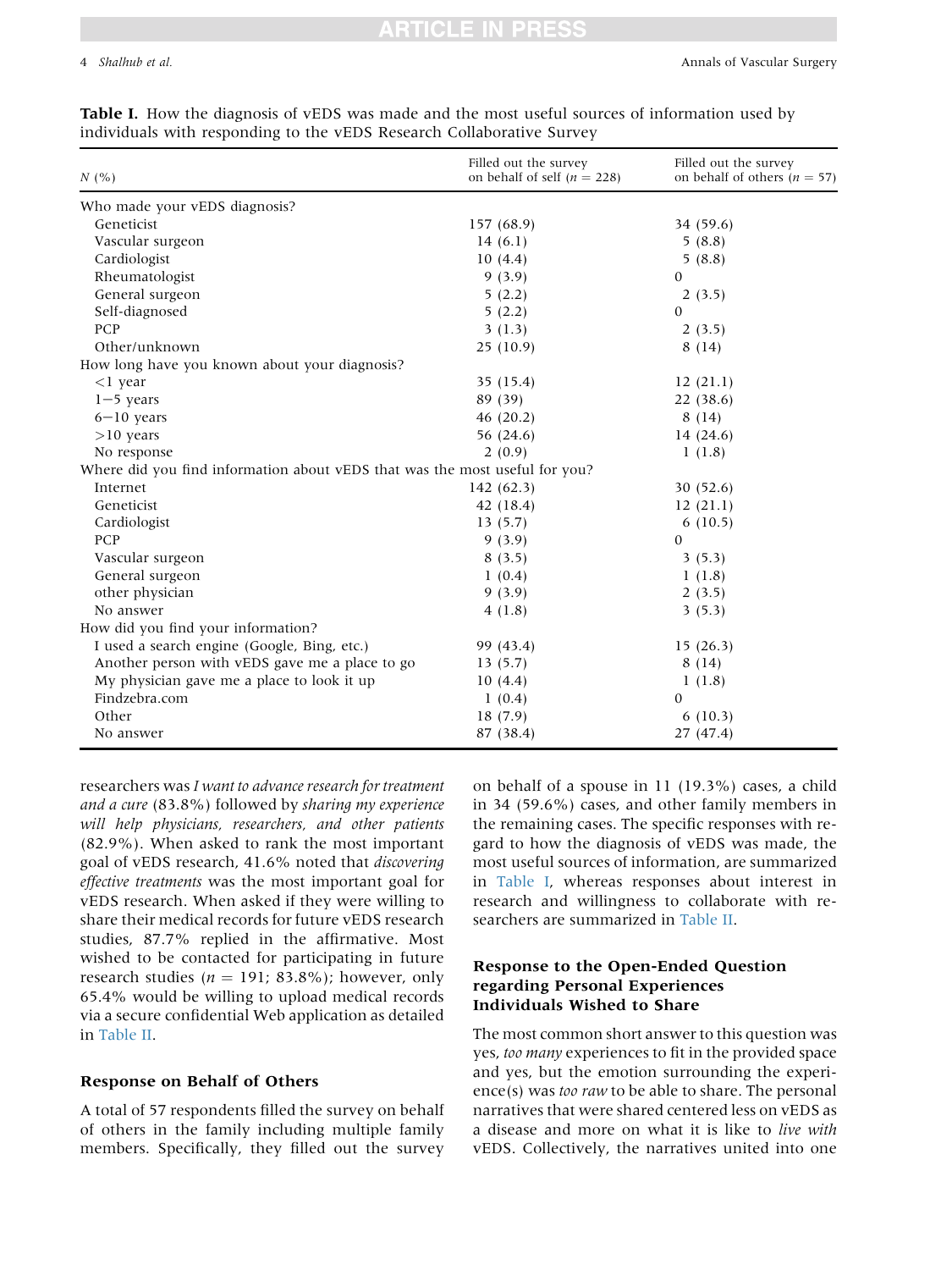| N(%                                                                         | Filled out the survey<br>on behalf of self ( $n = 228$ ) | Filled out the survey<br>on behalf of others ( $n = 57$ ) |
|-----------------------------------------------------------------------------|----------------------------------------------------------|-----------------------------------------------------------|
| Who made your vEDS diagnosis?                                               |                                                          |                                                           |
| Geneticist                                                                  | 157 (68.9)                                               | 34 (59.6)                                                 |
| Vascular surgeon                                                            | 14(6.1)                                                  | 5(8.8)                                                    |
| Cardiologist                                                                | 10(4.4)                                                  | 5(8.8)                                                    |
| Rheumatologist                                                              | 9(3.9)                                                   | $\Omega$                                                  |
| General surgeon                                                             | 5(2.2)                                                   | 2(3.5)                                                    |
| Self-diagnosed                                                              | 5(2.2)                                                   | $\Omega$                                                  |
| PCP                                                                         | 3(1.3)                                                   | 2(3.5)                                                    |
| Other/unknown                                                               | 25(10.9)                                                 | 8(14)                                                     |
| How long have you known about your diagnosis?                               |                                                          |                                                           |
| $<$ l year                                                                  | 35 (15.4)                                                | 12(21.1)                                                  |
| $1-5$ years                                                                 | 89 (39)                                                  | 22 (38.6)                                                 |
| $6-10$ years                                                                | 46(20.2)                                                 | 8(14)                                                     |
| $>10$ years                                                                 | 56 (24.6)                                                | 14 (24.6)                                                 |
| No response                                                                 | 2(0.9)                                                   | 1(1.8)                                                    |
| Where did you find information about vEDS that was the most useful for you? |                                                          |                                                           |
| Internet                                                                    | 142(62.3)                                                | 30(52.6)                                                  |
| Geneticist                                                                  | 42 (18.4)                                                | 12(21.1)                                                  |
| Cardiologist                                                                | 13(5.7)                                                  | 6(10.5)                                                   |
| PCP                                                                         | 9(3.9)                                                   | $\Omega$                                                  |
| Vascular surgeon                                                            | 8(3.5)                                                   | 3(5.3)                                                    |
| General surgeon                                                             | 1(0.4)                                                   | 1(1.8)                                                    |
| other physician                                                             | 9(3.9)                                                   | 2(3.5)                                                    |
| No answer                                                                   | 4(1.8)                                                   | 3(5.3)                                                    |
| How did you find your information?                                          |                                                          |                                                           |
| I used a search engine (Google, Bing, etc.)                                 | 99 (43.4)                                                | 15(26.3)                                                  |
| Another person with vEDS gave me a place to go                              | 13(5.7)                                                  | 8(14)                                                     |
| My physician gave me a place to look it up                                  | 10(4.4)                                                  | 1(1.8)                                                    |
| Findzebra.com                                                               | 1(0.4)                                                   | $\mathbf{0}$                                              |

Other 18 (7.9) 6 (10.3) No answer 27 (47.4) 27 (47.4)

<span id="page-3-0"></span>Table I. How the diagnosis of vEDS was made and the most useful sources of information used by  $dividiode with reconoding to the vEDE Besearceh. Collaborative S<sub>2</sub>$ 

researchers was I want to advance research for treatment and a cure (83.8%) followed by sharing my experience will help physicians, researchers, and other patients (82.9%). When asked to rank the most important goal of vEDS research, 41.6% noted that discovering effective treatments was the most important goal for vEDS research. When asked if they were willing to share their medical records for future vEDS research studies, 87.7% replied in the affirmative. Most wished to be contacted for participating in future research studies ( $n = 191$ ; 83.8%); however, only 65.4% would be willing to upload medical records via a secure confidential Web application as detailed in [Table II.](#page-5-0)

#### Response on Behalf of Others

A total of 57 respondents filled the survey on behalf of others in the family including multiple family members. Specifically, they filled out the survey on behalf of a spouse in 11 (19.3%) cases, a child in 34 (59.6%) cases, and other family members in the remaining cases. The specific responses with regard to how the diagnosis of vEDS was made, the most useful sources of information, are summarized in Table I, whereas responses about interest in research and willingness to collaborate with researchers are summarized in [Table II](#page-5-0).

### Response to the Open-Ended Question regarding Personal Experiences Individuals Wished to Share

The most common short answer to this question was yes, too many experiences to fit in the provided space and yes, but the emotion surrounding the experience(s) was too raw to be able to share. The personal narratives that were shared centered less on vEDS as a disease and more on what it is like to live with vEDS. Collectively, the narratives united into one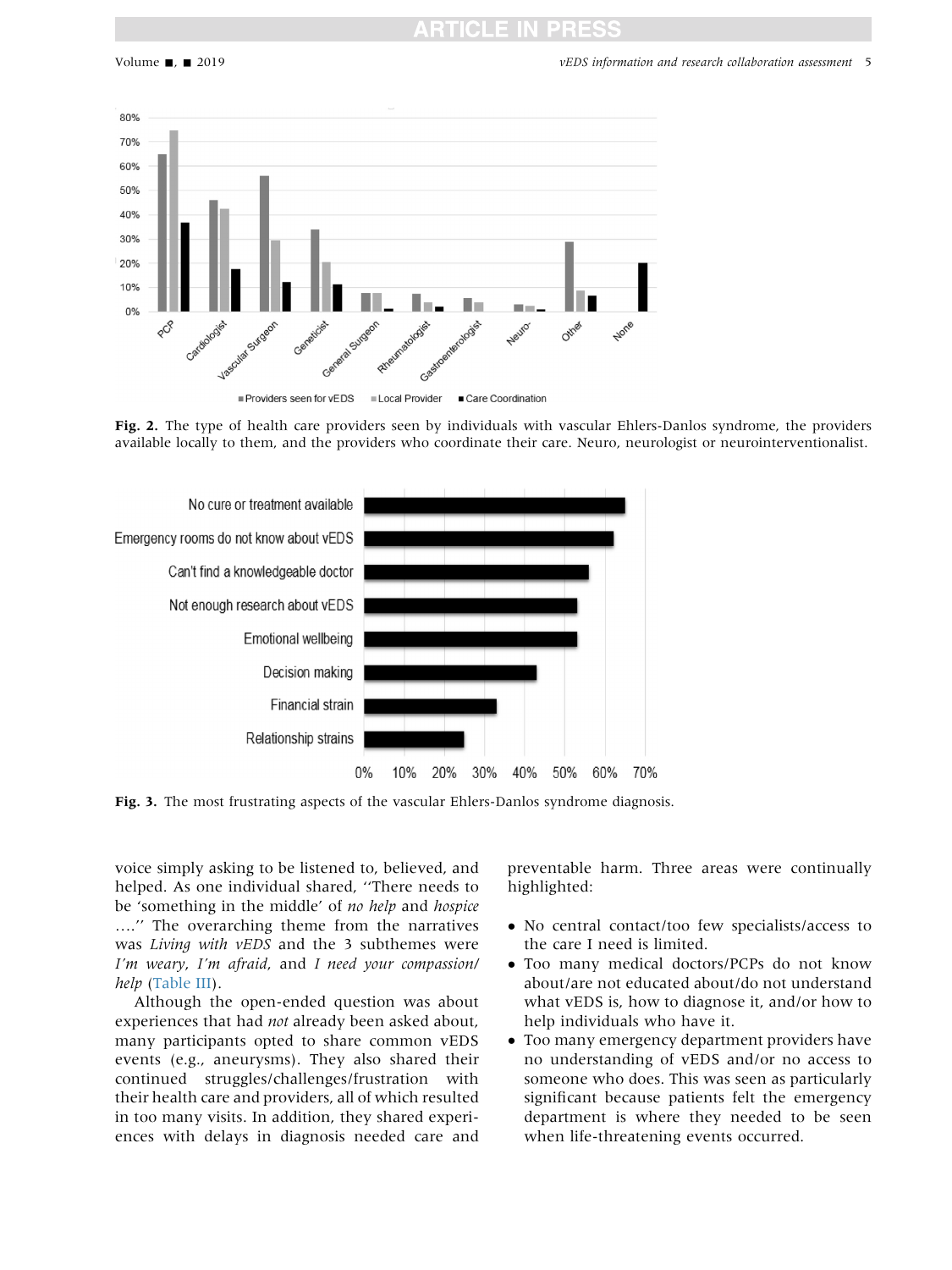<span id="page-4-0"></span>

Fig. 2. The type of health care providers seen by individuals with vascular Ehlers-Danlos syndrome, the providers available locally to them, and the providers who coordinate their care. Neuro, neurologist or neurointerventionalist.



Fig. 3. The most frustrating aspects of the vascular Ehlers-Danlos syndrome diagnosis.

voice simply asking to be listened to, believed, and helped. As one individual shared, ''There needs to be 'something in the middle' of no help and hospice ...." The overarching theme from the narratives was Living with vEDS and the 3 subthemes were I'm weary, I'm afraid, and I need your compassion/ help ([Table III\)](#page-6-0).

Although the open-ended question was about experiences that had not already been asked about, many participants opted to share common vEDS events (e.g., aneurysms). They also shared their continued struggles/challenges/frustration with their health care and providers, all of which resulted in too many visits. In addition, they shared experiences with delays in diagnosis needed care and preventable harm. Three areas were continually highlighted:

- No central contact/too few specialists/access to the care I need is limited.
- Too many medical doctors/PCPs do not know about/are not educated about/do not understand what vEDS is, how to diagnose it, and/or how to help individuals who have it.
- Too many emergency department providers have no understanding of vEDS and/or no access to someone who does. This was seen as particularly significant because patients felt the emergency department is where they needed to be seen when life-threatening events occurred.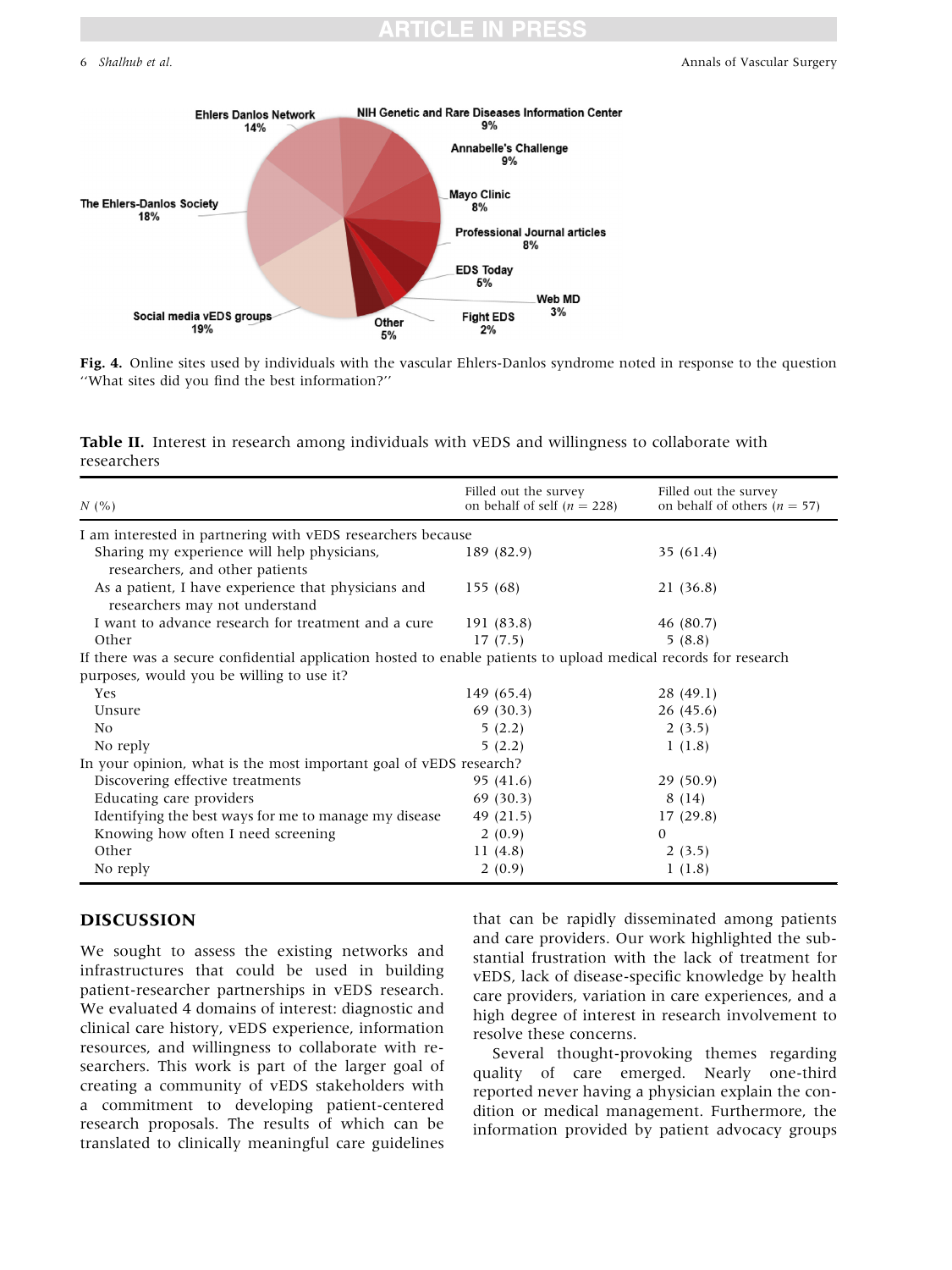#### <span id="page-5-0"></span>6 Shalhub et al. **Annals of Vascular Surgery Annals of Vascular Surgery Annals of Vascular Surgery**



Fig. 4. Online sites used by individuals with the vascular Ehlers-Danlos syndrome noted in response to the question ''What sites did you find the best information?''

Table II. Interest in research among individuals with vEDS and willingness to collaborate with researchers

| N(%                                                                                                             | Filled out the survey<br>on behalf of self ( $n = 228$ ) | Filled out the survey<br>on behalf of others ( $n = 57$ ) |
|-----------------------------------------------------------------------------------------------------------------|----------------------------------------------------------|-----------------------------------------------------------|
| I am interested in partnering with vEDS researchers because                                                     |                                                          |                                                           |
| Sharing my experience will help physicians,<br>researchers, and other patients                                  | 189 (82.9)                                               | 35(61.4)                                                  |
| As a patient, I have experience that physicians and<br>researchers may not understand                           | 155(68)                                                  | 21 (36.8)                                                 |
| I want to advance research for treatment and a cure                                                             | 191 (83.8)                                               | 46 (80.7)                                                 |
| Other                                                                                                           | 17(7.5)                                                  | 5(8.8)                                                    |
| If there was a secure confidential application hosted to enable patients to upload medical records for research |                                                          |                                                           |
| purposes, would you be willing to use it?                                                                       |                                                          |                                                           |
| Yes                                                                                                             | 149 (65.4)                                               | 28(49.1)                                                  |
| Unsure                                                                                                          | 69(30.3)                                                 | 26(45.6)                                                  |
| N <sub>0</sub>                                                                                                  | 5(2.2)                                                   | 2(3.5)                                                    |
| No reply                                                                                                        | 5(2.2)                                                   | 1(1.8)                                                    |
| In your opinion, what is the most important goal of vEDS research?                                              |                                                          |                                                           |
| Discovering effective treatments                                                                                | 95 (41.6)                                                | 29(50.9)                                                  |
| Educating care providers                                                                                        | 69(30.3)                                                 | 8(14)                                                     |
| Identifying the best ways for me to manage my disease                                                           | 49 (21.5)                                                | 17(29.8)                                                  |
| Knowing how often I need screening                                                                              | 2(0.9)                                                   | $\mathbf{0}$                                              |
| Other                                                                                                           | 11(4.8)                                                  | 2(3.5)                                                    |
| No reply                                                                                                        | 2(0.9)                                                   | 1(1.8)                                                    |

### DISCUSSION

We sought to assess the existing networks and infrastructures that could be used in building patient-researcher partnerships in vEDS research. We evaluated 4 domains of interest: diagnostic and clinical care history, vEDS experience, information resources, and willingness to collaborate with researchers. This work is part of the larger goal of creating a community of vEDS stakeholders with a commitment to developing patient-centered research proposals. The results of which can be translated to clinically meaningful care guidelines that can be rapidly disseminated among patients and care providers. Our work highlighted the substantial frustration with the lack of treatment for vEDS, lack of disease-specific knowledge by health care providers, variation in care experiences, and a high degree of interest in research involvement to resolve these concerns.

Several thought-provoking themes regarding quality of care emerged. Nearly one-third reported never having a physician explain the condition or medical management. Furthermore, the information provided by patient advocacy groups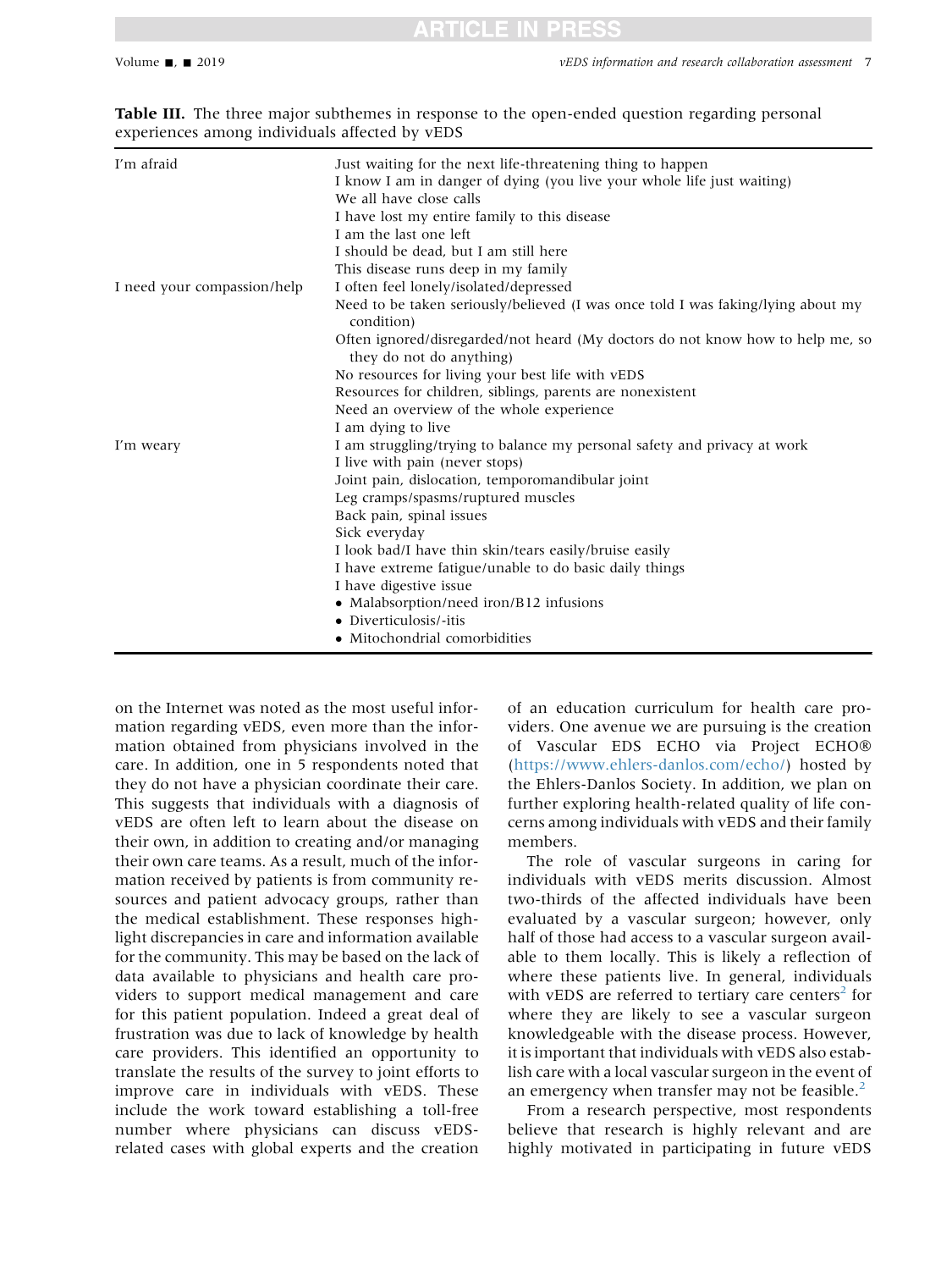| I'm afraid                  | Just waiting for the next life-threatening thing to happen<br>I know I am in danger of dying (you live your whole life just waiting) |
|-----------------------------|--------------------------------------------------------------------------------------------------------------------------------------|
|                             | We all have close calls                                                                                                              |
|                             | I have lost my entire family to this disease                                                                                         |
|                             | I am the last one left                                                                                                               |
|                             | I should be dead, but I am still here                                                                                                |
|                             | This disease runs deep in my family                                                                                                  |
| I need your compassion/help | I often feel lonely/isolated/depressed                                                                                               |
|                             | Need to be taken seriously/believed (I was once told I was faking/lying about my<br>condition)                                       |
|                             | Often ignored/disregarded/not heard (My doctors do not know how to help me, so<br>they do not do anything)                           |
|                             | No resources for living your best life with vEDS                                                                                     |
|                             | Resources for children, siblings, parents are nonexistent                                                                            |
|                             | Need an overview of the whole experience                                                                                             |
|                             | I am dying to live                                                                                                                   |
| I'm weary                   | I am struggling/trying to balance my personal safety and privacy at work                                                             |
|                             | I live with pain (never stops)                                                                                                       |
|                             | Joint pain, dislocation, temporomandibular joint                                                                                     |
|                             | Leg cramps/spasms/ruptured muscles                                                                                                   |
|                             | Back pain, spinal issues                                                                                                             |
|                             | Sick everyday                                                                                                                        |
|                             | I look bad/I have thin skin/tears easily/bruise easily                                                                               |
|                             | I have extreme fatigue/unable to do basic daily things                                                                               |
|                             | I have digestive issue                                                                                                               |
|                             | • Malabsorption/need iron/B12 infusions                                                                                              |
|                             | • Diverticulosis/-itis                                                                                                               |
|                             | • Mitochondrial comorbidities                                                                                                        |
|                             |                                                                                                                                      |

<span id="page-6-0"></span>Table III. The three major subthemes in response to the open-ended question regarding personal experiences among individuals affected by vEDS

on the Internet was noted as the most useful information regarding vEDS, even more than the information obtained from physicians involved in the care. In addition, one in 5 respondents noted that they do not have a physician coordinate their care. This suggests that individuals with a diagnosis of vEDS are often left to learn about the disease on their own, in addition to creating and/or managing their own care teams. As a result, much of the information received by patients is from community resources and patient advocacy groups, rather than the medical establishment. These responses highlight discrepancies in care and information available for the community. This may be based on the lack of data available to physicians and health care providers to support medical management and care for this patient population. Indeed a great deal of frustration was due to lack of knowledge by health care providers. This identified an opportunity to translate the results of the survey to joint efforts to improve care in individuals with vEDS. These include the work toward establishing a toll-free number where physicians can discuss vEDSrelated cases with global experts and the creation of an education curriculum for health care providers. One avenue we are pursuing is the creation of Vascular EDS ECHO via Project ECHO (<https://www.ehlers-danlos.com/echo/>) hosted by the Ehlers-Danlos Society. In addition, we plan on further exploring health-related quality of life concerns among individuals with vEDS and their family members.

The role of vascular surgeons in caring for individuals with vEDS merits discussion. Almost two-thirds of the affected individuals have been evaluated by a vascular surgeon; however, only half of those had access to a vascular surgeon available to them locally. This is likely a reflection of where these patients live. In general, individuals with vEDS are referred to tertiary care centers<sup>[2](#page-8-0)</sup> for where they are likely to see a vascular surgeon knowledgeable with the disease process. However, it is important that individuals with vEDS also establish care with a local vascular surgeon in the event of an emergency when transfer may not be feasible. $<sup>2</sup>$  $<sup>2</sup>$  $<sup>2</sup>$ </sup>

From a research perspective, most respondents believe that research is highly relevant and are highly motivated in participating in future vEDS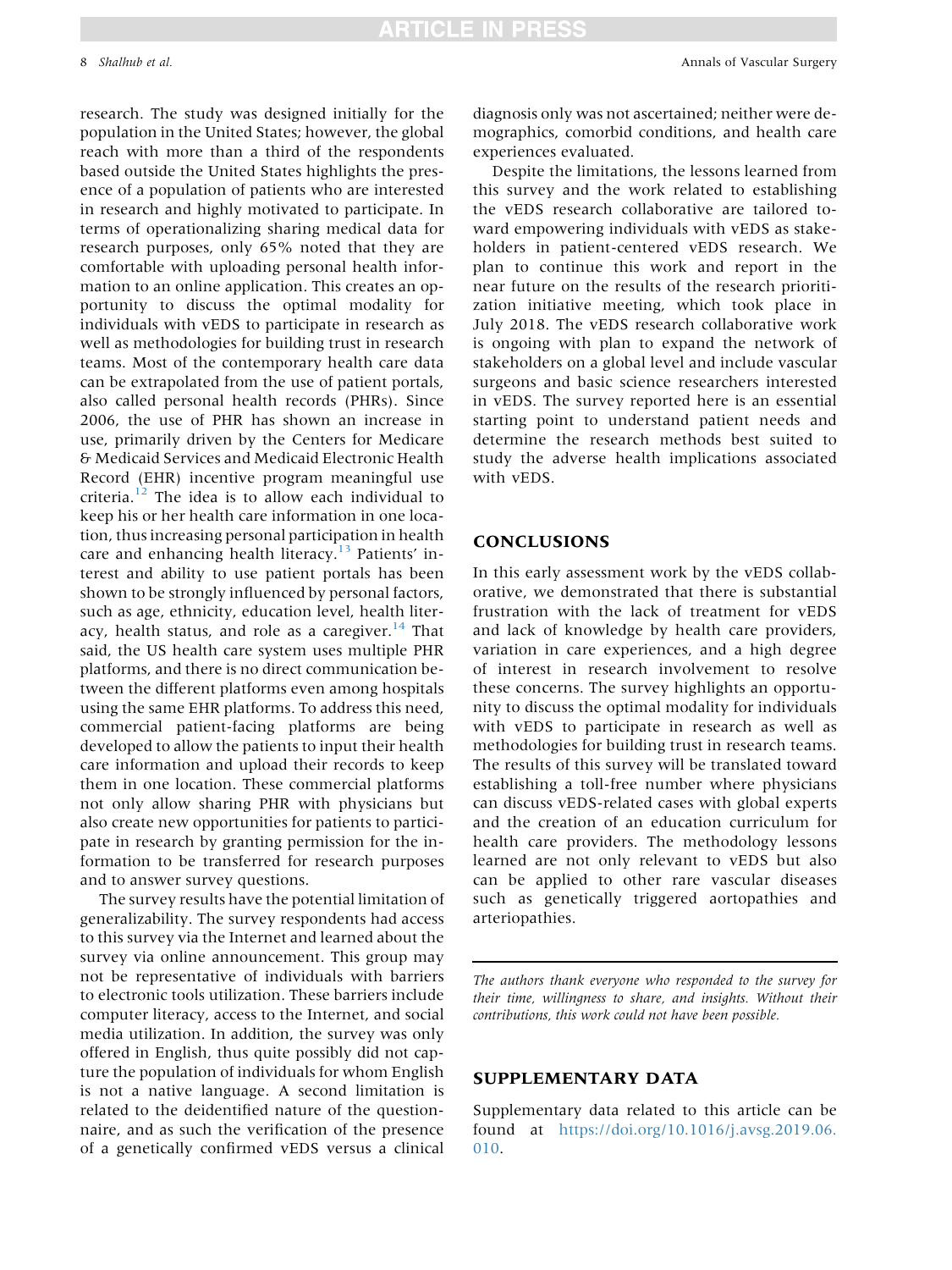# TICLE IN PRESS

research. The study was designed initially for the population in the United States; however, the global reach with more than a third of the respondents based outside the United States highlights the presence of a population of patients who are interested in research and highly motivated to participate. In terms of operationalizing sharing medical data for research purposes, only 65% noted that they are comfortable with uploading personal health information to an online application. This creates an opportunity to discuss the optimal modality for individuals with vEDS to participate in research as well as methodologies for building trust in research teams. Most of the contemporary health care data can be extrapolated from the use of patient portals, also called personal health records (PHRs). Since 2006, the use of PHR has shown an increase in use, primarily driven by the Centers for Medicare & Medicaid Services and Medicaid Electronic Health Record (EHR) incentive program meaningful use criteria. $12$  The idea is to allow each individual to keep his or her health care information in one location, thus increasing personal participation in health care and enhancing health literacy.<sup>[13](#page-8-0)</sup> Patients' interest and ability to use patient portals has been shown to be strongly influenced by personal factors, such as age, ethnicity, education level, health liter[acy,](#page-8-0) [health](#page-8-0) [status,](#page-8-0) [and](#page-8-0) [role](#page-8-0) [as](#page-8-0) [a](#page-8-0) [caregiver.](#page-8-0) $14$  That said, the US health care system uses multiple PHR platforms, and there is no direct communication between the different platforms even among hospitals using the same EHR platforms. To address this need, commercial patient-facing platforms are being developed to allow the patients to input their health care information and upload their records to keep them in one location. These commercial platforms not only allow sharing PHR with physicians but also create new opportunities for patients to participate in research by granting permission for the information to be transferred for research purposes and to answer survey questions.

The survey results have the potential limitation of generalizability. The survey respondents had access to this survey via the Internet and learned about the survey via online announcement. This group may not be representative of individuals with barriers to electronic tools utilization. These barriers include computer literacy, access to the Internet, and social media utilization. In addition, the survey was only offered in English, thus quite possibly did not capture the population of individuals for whom English is not a native language. A second limitation is related to the deidentified nature of the questionnaire, and as such the verification of the presence of a genetically confirmed vEDS versus a clinical diagnosis only was not ascertained; neither were demographics, comorbid conditions, and health care experiences evaluated.

Despite the limitations, the lessons learned from this survey and the work related to establishing the vEDS research collaborative are tailored toward empowering individuals with vEDS as stakeholders in patient-centered vEDS research. We plan to continue this work and report in the near future on the results of the research prioritization initiative meeting, which took place in July 2018. The vEDS research collaborative work is ongoing with plan to expand the network of stakeholders on a global level and include vascular surgeons and basic science researchers interested in vEDS. The survey reported here is an essential starting point to understand patient needs and determine the research methods best suited to study the adverse health implications associated with vEDS.

#### CONCLUSIONS

In this early assessment work by the vEDS collaborative, we demonstrated that there is substantial frustration with the lack of treatment for vEDS and lack of knowledge by health care providers, variation in care experiences, and a high degree of interest in research involvement to resolve these concerns. The survey highlights an opportunity to discuss the optimal modality for individuals with vEDS to participate in research as well as methodologies for building trust in research teams. The results of this survey will be translated toward establishing a toll-free number where physicians can discuss vEDS-related cases with global experts and the creation of an education curriculum for health care providers. The methodology lessons learned are not only relevant to vEDS but also can be applied to other rare vascular diseases such as genetically triggered aortopathies and arteriopathies.

The authors thank everyone who responded to the survey for their time, willingness to share, and insights. Without their contributions, this work could not have been possible.

#### SUPPLEMENTARY DATA

Supplementary data related to this article can be found at [https://doi.org/10.1016/j.avsg.2019.06.](https://doi.org/10.1016/j.avsg.2019.06.010) [010.](https://doi.org/10.1016/j.avsg.2019.06.010)